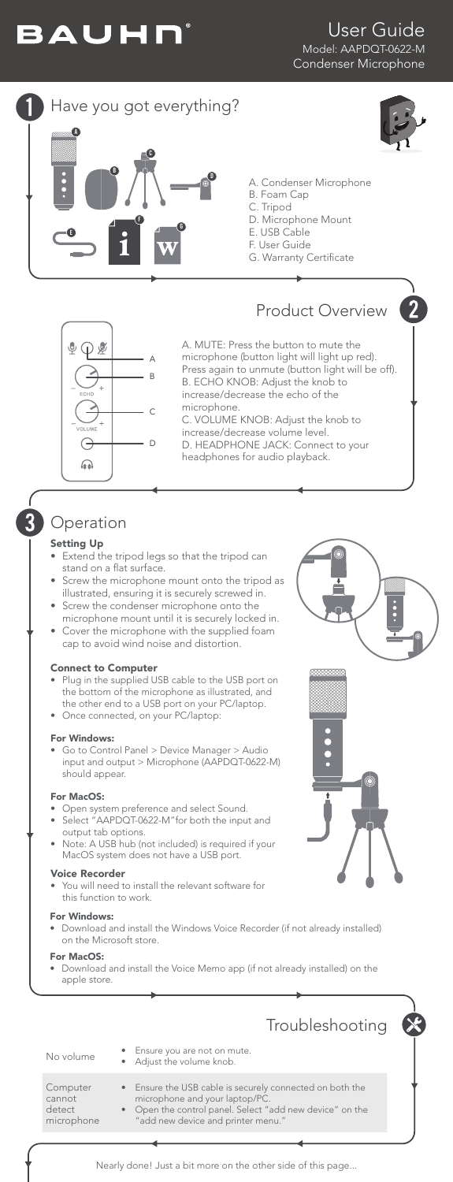

### User Guide Model: AAPDQT-0622-M Condenser Microphone





## **Operation**

#### Setting Up

3

- Extend the tripod legs so that the tripod can stand on a flat surface.
- Screw the microphone mount onto the tripod as illustrated, ensuring it is securely screwed in.
- Screw the condenser microphone onto the microphone mount until it is securely locked in.
- Cover the microphone with the supplied foam cap to avoid wind noise and distortion.

#### Connect to Computer

- Plug in the supplied USB cable to the USB port on the bottom of the microphone as illustrated, and the other end to a USB port on your PC/laptop.
- Once connected, on your PC/laptop:

#### For Windows:

• Go to Control Panel > Device Manager > Audio input and output > Microphone (AAPDQT-0622-M) should appear.

#### For MacOS:

- Open system preference and select Sound.
- Select "AAPDQT-0622-M"for both the input and output tab options.
- Note: A USB hub (not included) is required if your MacOS system does not have a USB port.

#### Voice Recorder

You will need to install the relevant software for this function to work.

#### For Windows:

• Download and install the Windows Voice Recorder (if not already installed) on the Microsoft store.

For MacOS:

 $\subset$ ca  $\mathsf{d}$ 

• Download and install the Voice Memo app (if not already installed) on the apple store.

|                                            | Troubleshooting                                                                                                                                                                              | X |
|--------------------------------------------|----------------------------------------------------------------------------------------------------------------------------------------------------------------------------------------------|---|
| No volume                                  | • Ensure you are not on mute.<br>• Adjust the volume knob.                                                                                                                                   |   |
| Computer<br>cannot<br>detect<br>microphone | • Ensure the USB cable is securely connected on both the<br>microphone and your laptop/PC.<br>• Open the control panel. Select "add new device" on the<br>"add new device and printer menu." |   |
|                                            |                                                                                                                                                                                              |   |